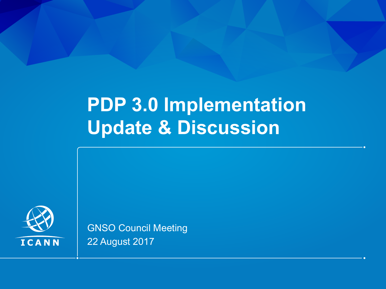# **PDP 3.0 Implementation Update & Discussion**



GNSO Council Meeting 22 August 2017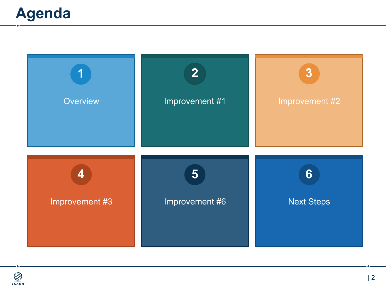

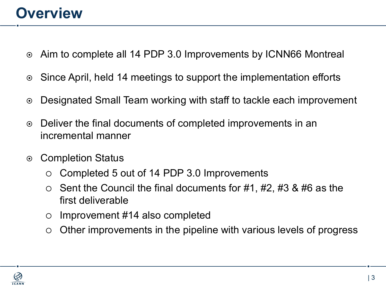#### **Overview**

- ¤ Aim to complete all 14 PDP 3.0 Improvements by ICNN66 Montreal
- **Since April, held 14 meetings to support the implementation efforts**
- ◎ Designated Small Team working with staff to tackle each improvement
- ⊙ Deliver the final documents of completed improvements in an incremental manner
- Completion Status
	- Completed 5 out of 14 PDP 3.0 Improvements
	- $\circ$  Sent the Council the final documents for #1, #2, #3 & #6 as the first deliverable
	- $\circ$  Improvement #14 also completed
	- $\circ$  Other improvements in the pipeline with various levels of progress

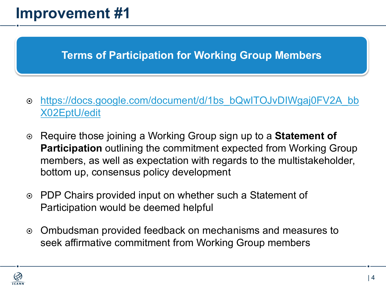#### **Terms of Participation for Working Group Members**

- ¤ [https://docs.google.com/document/d/1bs\\_bQwITOJvDIWgaj0FV2A\\_bb](https://docs.google.com/document/d/1bs_bQwITOJvDIWgaj0FV2A_bbX02EptU/edit) X02EptU/edit
- ¤ Require those joining a Working Group sign up to a **Statement of Participation** outlining the commitment expected from Working Group members, as well as expectation with regards to the multistakeholder, bottom up, consensus policy development
- **PDP Chairs provided input on whether such a Statement of** Participation would be deemed helpful
- **Ombudsman provided feedback on mechanisms and measures to** seek affirmative commitment from Working Group members

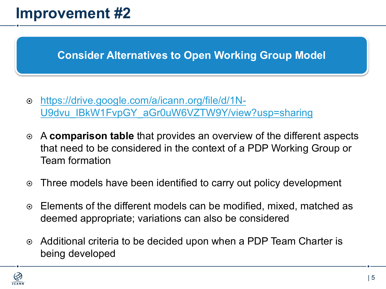**Consider Alternatives to Open Working Group Model**

- ¤ https://drive.google.com/a/icann.org/file/d/1N-[U9dvu\\_IBkW1FvpGY\\_aGr0uW6VZTW9Y/view?usp=sharing](https://drive.google.com/a/icann.org/file/d/1N-U9dvu_IBkW1FvpGY_aGr0uW6VZTW9Y/view?usp=sharing)
- ¤ A **comparison table** that provides an overview of the different aspects that need to be considered in the context of a PDP Working Group or Team formation
- **Three models have been identified to carry out policy development**
- ¤ Elements of the different models can be modified, mixed, matched as deemed appropriate; variations can also be considered
- **Additional criteria to be decided upon when a PDP Team Charter is** being developed

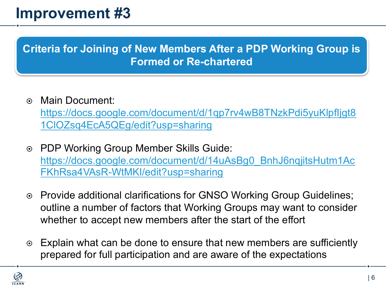**Criteria for Joining of New Members After a PDP Working Group is Formed or Re-chartered** 

- $\odot$  Main Document: [https://docs.google.com/document/d/1qp7rv4wB8TNzkPdi5yuKlpfIjgt8](https://docs.google.com/document/d/1qp7rv4wB8TNzkPdi5yuKlpfIjgt81ClOZsq4EcA5QEg/edit?usp=sharing) 1ClOZsq4EcA5QEg/edit?usp=sharing
- ◎ PDP Working Group Member Skills Guide: [https://docs.google.com/document/d/14uAsBg0\\_BnhJ6nqjitsHutm1Ac](https://docs.google.com/document/d/14uAsBg0_BnhJ6nqjitsHutm1AcFKhRsa4VAsR-WtMKI/edit?usp=sharing) FKhRsa4VAsR-WtMKI/edit?usp=sharing
- ◎ Provide additional clarifications for GNSO Working Group Guidelines; outline a number of factors that Working Groups may want to consider whether to accept new members after the start of the effort
- **Explain what can be done to ensure that new members are sufficiently** prepared for full participation and are aware of the expectations

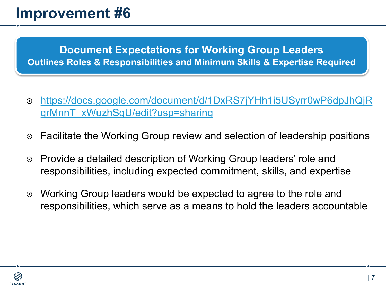**Document Expectations for Working Group Leaders Outlines Roles & Responsibilities and Minimum Skills & Expertise Required**

- ¤ [https://docs.google.com/document/d/1DxRS7jYHh1i5USyrr0wP6dpJhQjR](https://docs.google.com/document/d/1DxRS7jYHh1i5USyrr0wP6dpJhQjRqrMnnT_xWuzhSqU/edit?usp=sharing) qrMnnT\_xWuzhSqU/edit?usp=sharing
- ¤ Facilitate the Working Group review and selection of leadership positions
- ¤ Provide a detailed description of Working Group leaders' role and responsibilities, including expected commitment, skills, and expertise
- **■** Working Group leaders would be expected to agree to the role and responsibilities, which serve as a means to hold the leaders accountable

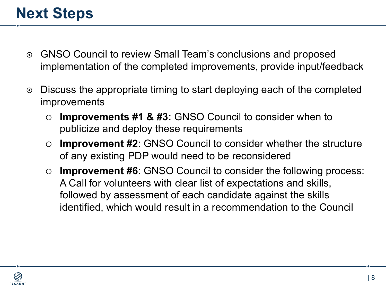### **Next Steps**

- ⊙ GNSO Council to review Small Team's conclusions and proposed implementation of the completed improvements, provide input/feedback
- **■** Discuss the appropriate timing to start deploying each of the completed improvements
	- **Improvements #1 & #3: GNSO Council to consider when to** publicize and deploy these requirements
	- **Improvement #2:** GNSO Council to consider whether the structure of any existing PDP would need to be reconsidered
	- ¡ **Improvement #6**: GNSO Council to consider the following process: A Call for volunteers with clear list of expectations and skills, followed by assessment of each candidate against the skills identified, which would result in a recommendation to the Council